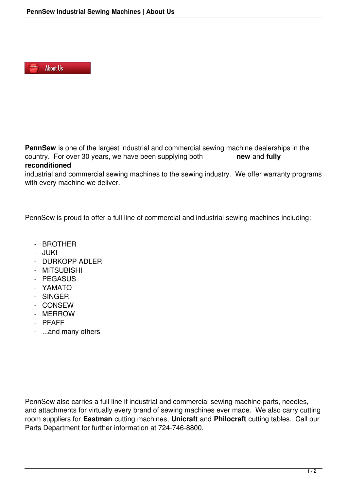

**PennSew** is one of the largest industrial and commercial sewing machine dealerships in the country. For over 30 years, we have been supplying both **new** and **fully reconditioned**

industrial and commercial sewing machines to the sewing industry. We offer warranty programs with every machine we deliver.

PennSew is proud to offer a full line of commercial and industrial sewing machines including:

- BROTHER
- JUKI
- DURKOPP ADLER
- MITSUBISHI
- PEGASUS
- YAMATO
- SINGER
- CONSEW
- MERROW
- PFAFF
- ...and many others

PennSew also carries a full line if industrial and commercial sewing machine parts, needles, and attachments for virtually every brand of sewing machines ever made. We also carry cutting room suppliers for **Eastman** cutting machines, **Unicraft** and **Philocraft** cutting tables. Call our Parts Department for further information at 724-746-8800.